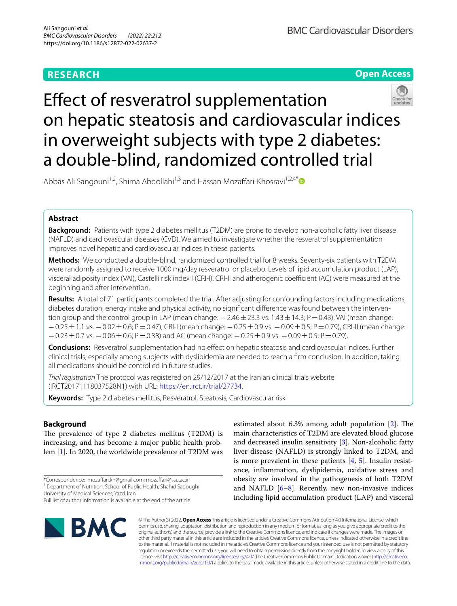# **RESEARCH**



**Open Access**

# Efect of resveratrol supplementation on hepatic steatosis and cardiovascular indices in overweight subjects with type 2 diabetes: a double-blind, randomized controlled trial

Abbas Ali Sangouni<sup>1,2</sup>, Shima Abdollahi<sup>1,3</sup> and Hassan Mozaffari-Khosravi<sup>1,2,4\*</sup>

# **Abstract**

**Background:** Patients with type 2 diabetes mellitus (T2DM) are prone to develop non-alcoholic fatty liver disease (NAFLD) and cardiovascular diseases (CVD). We aimed to investigate whether the resveratrol supplementation improves novel hepatic and cardiovascular indices in these patients.

**Methods:** We conducted a double-blind, randomized controlled trial for 8 weeks. Seventy-six patients with T2DM were randomly assigned to receive 1000 mg/day resveratrol or placebo. Levels of lipid accumulation product (LAP), visceral adiposity index (VAI), Castelli risk index I (CRI-I), CRI-II and atherogenic coefficient (AC) were measured at the beginning and after intervention.

**Results:** A total of 71 participants completed the trial. After adjusting for confounding factors including medications, diabetes duration, energy intake and physical activity, no significant difference was found between the intervention group and the control group in LAP (mean change:  $-2.46 \pm 23.3$  vs. 1.43 ± 14.3; P = 0.43), VAI (mean change: −0.25±1.1 vs. −0.02±0.6; P=0.47), CRI-I (mean change: −0.25±0.9 vs. −0.09±0.5; P=0.79), CRI-II (mean change:  $-0.23 \pm 0.7$  vs.  $-0.06 \pm 0.6$ ; P=0.38) and AC (mean change:  $-0.25 \pm 0.9$  vs.  $-0.09 \pm 0.5$ ; P=0.79).

**Conclusions:** Resveratrol supplementation had no efect on hepatic steatosis and cardiovascular indices. Further clinical trials, especially among subjects with dyslipidemia are needed to reach a frm conclusion. In addition, taking all medications should be controlled in future studies.

*Trial registration* The protocol was registered on 29/12/2017 at the Iranian clinical trials website (IRCT20171118037528N1) with URL: [https://en.irct.ir/trial/27734.](https://en.irct.ir/trial/27734)

**Keywords:** Type 2 diabetes mellitus, Resveratrol, Steatosis, Cardiovascular risk

## **Background**

The prevalence of type 2 diabetes mellitus (T2DM) is increasing, and has become a major public health problem [[1\]](#page-6-0). In 2020, the worldwide prevalence of T2DM was

University of Medical Sciences, Yazd, Iran

Full list of author information is available at the end of the article



estimated about  $6.3\%$  among adult population [[2\]](#page-6-1). The main characteristics of T2DM are elevated blood glucose and decreased insulin sensitivity [\[3](#page-6-2)]. Non-alcoholic fatty liver disease (NAFLD) is strongly linked to T2DM, and is more prevalent in these patients [\[4](#page-6-3), [5\]](#page-6-4). Insulin resistance, infammation, dyslipidemia, oxidative stress and obesity are involved in the pathogenesis of both T2DM and NAFLD  $[6-8]$  $[6-8]$  $[6-8]$ . Recently, new non-invasive indices including lipid accumulation product (LAP) and visceral

© The Author(s) 2022. **Open Access** This article is licensed under a Creative Commons Attribution 4.0 International License, which permits use, sharing, adaptation, distribution and reproduction in any medium or format, as long as you give appropriate credit to the original author(s) and the source, provide a link to the Creative Commons licence, and indicate if changes were made. The images or other third party material in this article are included in the article's Creative Commons licence, unless indicated otherwise in a credit line to the material. If material is not included in the article's Creative Commons licence and your intended use is not permitted by statutory regulation or exceeds the permitted use, you will need to obtain permission directly from the copyright holder. To view a copy of this licence, visit [http://creativecommons.org/licenses/by/4.0/.](http://creativecommons.org/licenses/by/4.0/) The Creative Commons Public Domain Dedication waiver ([http://creativeco](http://creativecommons.org/publicdomain/zero/1.0/) [mmons.org/publicdomain/zero/1.0/](http://creativecommons.org/publicdomain/zero/1.0/)) applies to the data made available in this article, unless otherwise stated in a credit line to the data.

<sup>\*</sup>Correspondence: mozafari.kh@gmail.com; mozafari@ssu.ac.ir

<sup>&</sup>lt;sup>1</sup> Department of Nutrition, School of Public Health, Shahid Sadoughi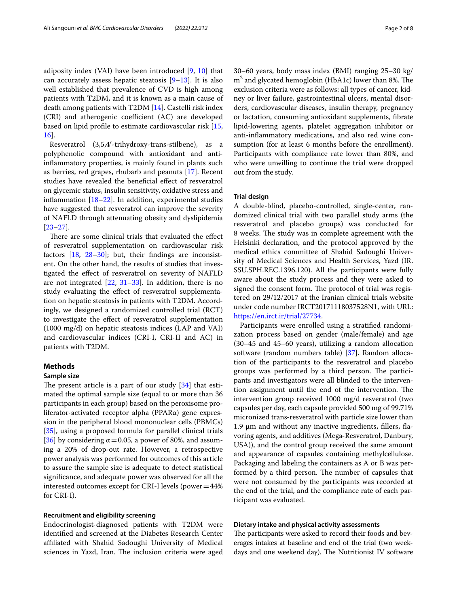adiposity index (VAI) have been introduced [\[9](#page-6-7), [10\]](#page-6-8) that can accurately assess hepatic steatosis  $[9-13]$  $[9-13]$ . It is also well established that prevalence of CVD is high among patients with T2DM, and it is known as a main cause of death among patients with T2DM [\[14](#page-6-10)]. Castelli risk index (CRI) and atherogenic coefficient (AC) are developed based on lipid profle to estimate cardiovascular risk [\[15](#page-6-11), [16\]](#page-7-0).

Resveratrol (3,5,4′-trihydroxy-trans-stilbene), as a polyphenolic compound with antioxidant and antiinfammatory properties, is mainly found in plants such as berries, red grapes, rhubarb and peanuts [\[17\]](#page-7-1). Recent studies have revealed the benefcial efect of resveratrol on glycemic status, insulin sensitivity, oxidative stress and infammation [[18](#page-7-2)[–22](#page-7-3)]. In addition, experimental studies have suggested that resveratrol can improve the severity of NAFLD through attenuating obesity and dyslipidemia [[23–](#page-7-4)[27](#page-7-5)].

There are some clinical trials that evaluated the effect of resveratrol supplementation on cardiovascular risk factors [\[18](#page-7-2), [28–](#page-7-6)[30\]](#page-7-7); but, their fndings are inconsistent. On the other hand, the results of studies that investigated the efect of resveratrol on severity of NAFLD are not integrated  $[22, 31-33]$  $[22, 31-33]$  $[22, 31-33]$ . In addition, there is no study evaluating the effect of resveratrol supplementation on hepatic steatosis in patients with T2DM. Accordingly, we designed a randomized controlled trial (RCT) to investigate the efect of resveratrol supplementation (1000 mg/d) on hepatic steatosis indices (LAP and VAI) and cardiovascular indices (CRI-I, CRI-II and AC) in patients with T2DM.

## **Methods**

## **Sample size**

The present article is a part of our study  $[34]$  $[34]$  that estimated the optimal sample size (equal to or more than 36 participants in each group) based on the peroxisome proliferator-activated receptor alpha (PPARα) gene expression in the peripheral blood mononuclear cells (PBMCs) [[35\]](#page-7-11), using a proposed formula for parallel clinical trials [[36\]](#page-7-12) by considering  $\alpha$  = 0.05, a power of 80%, and assuming a 20% of drop-out rate. However, a retrospective power analysis was performed for outcomes of this article to assure the sample size is adequate to detect statistical signifcance, and adequate power was observed for all the interested outcomes except for CRI-I levels (power=44% for CRI-I).

## **Recruitment and eligibility screening**

Endocrinologist-diagnosed patients with T2DM were identifed and screened at the Diabetes Research Center afliated with Shahid Sadoughi University of Medical sciences in Yazd, Iran. The inclusion criteria were aged 30–60 years, body mass index (BMI) ranging 25–30 kg/  $m<sup>2</sup>$  and glycated hemoglobin (HbA1c) lower than 8%. The exclusion criteria were as follows: all types of cancer, kidney or liver failure, gastrointestinal ulcers, mental disorders, cardiovascular diseases, insulin therapy, pregnancy or lactation, consuming antioxidant supplements, fbrate lipid‐lowering agents, platelet aggregation inhibitor or anti-infammatory medications, and also red wine consumption (for at least 6 months before the enrollment). Participants with compliance rate lower than 80%, and who were unwilling to continue the trial were dropped out from the study.

## **Trial design**

A double-blind, placebo-controlled, single-center, randomized clinical trial with two parallel study arms (the resveratrol and placebo groups) was conducted for 8 weeks. The study was in complete agreement with the Helsinki declaration, and the protocol approved by the medical ethics committee of Shahid Sadoughi University of Medical Sciences and Health Services, Yazd (IR. SSU.SPH.REC.1396.120). All the participants were fully aware about the study process and they were asked to signed the consent form. The protocol of trial was registered on 29/12/2017 at the Iranian clinical trials website under code number IRCT20171118037528N1, with URL: [https://en.irct.ir/trial/27734.](https://en.irct.ir/trial/27734)

Participants were enrolled using a stratifed randomization process based on gender (male/female) and age (30–45 and 45–60 years), utilizing a random allocation software (random numbers table) [\[37](#page-7-13)]. Random allocation of the participants to the resveratrol and placebo groups was performed by a third person. The participants and investigators were all blinded to the intervention assignment until the end of the intervention. The intervention group received 1000 mg/d resveratrol (two capsules per day, each capsule provided 500 mg of 99.71% micronized trans‐resveratrol with particle size lower than 1.9 μm and without any inactive ingredients, fllers, favoring agents, and additives (Mega‐Resveratrol, Danbury, USA)), and the control group received the same amount and appearance of capsules containing methylcellulose. Packaging and labeling the containers as A or B was performed by a third person. The number of capsules that were not consumed by the participants was recorded at the end of the trial, and the compliance rate of each participant was evaluated.

#### **Dietary intake and physical activity assessments**

The participants were asked to record their foods and beverages intakes at baseline and end of the trial (two weekdays and one weekend day). The Nutritionist IV software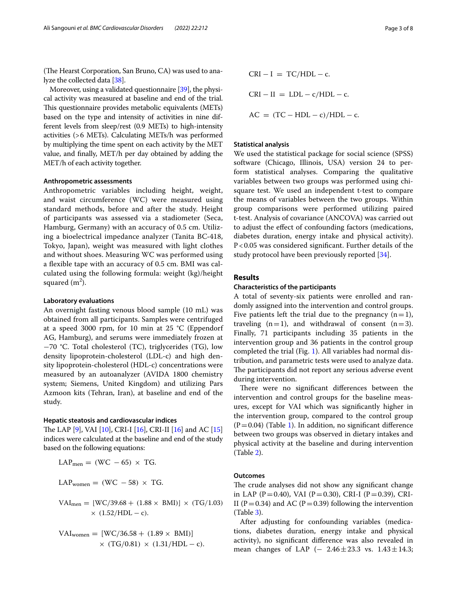(The Hearst Corporation, San Bruno, CA) was used to analyze the collected data [\[38\]](#page-7-14).

Moreover, using a validated questionnaire [[39](#page-7-15)], the physical activity was measured at baseline and end of the trial. This questionnaire provides metabolic equivalents (METs) based on the type and intensity of activities in nine different levels from sleep/rest (0.9 METs) to high-intensity activities (>6 METs). Calculating METs/h was performed by multiplying the time spent on each activity by the MET value, and fnally, MET/h per day obtained by adding the MET/h of each activity together.

### **Anthropometric assessments**

Anthropometric variables including height, weight, and waist circumference (WC) were measured using standard methods, before and after the study. Height of participants was assessed via a stadiometer (Seca, Hamburg, Germany) with an accuracy of 0.5 cm. Utilizing a bioelectrical impedance analyzer (Tanita BC‐418, Tokyo, Japan), weight was measured with light clothes and without shoes. Measuring WC was performed using a fexible tape with an accuracy of 0.5 cm. BMI was calculated using the following formula: weight (kg)/height squared  $(m^2)$ .

#### **Laboratory evaluations**

An overnight fasting venous blood sample (10 mL) was obtained from all participants. Samples were centrifuged at a speed 3000 rpm, for 10 min at 25 °C (Eppendorf AG, Hamburg), and serums were immediately frozen at −70 °C. Total cholesterol (TC), triglycerides (TG), low density lipoprotein-cholesterol (LDL-c) and high density lipoprotein-cholesterol (HDL-c) concentrations were measured by an autoanalyzer (AVIDA 1800 chemistry system; Siemens, United Kingdom) and utilizing Pars Azmoon kits (Tehran, Iran), at baseline and end of the study.

#### **Hepatic steatosis and cardiovascular indices**

The LAP [\[9\]](#page-6-7), VAI [\[10\]](#page-6-8), CRI-I [[16](#page-7-0)], CRI-II [\[16\]](#page-7-0) and AC [[15](#page-6-11)] indices were calculated at the baseline and end of the study based on the following equations:

$$
LAP_{\text{men}} = (WC - 65) \times TG.
$$

 $LAP_{women} = (WC - 58) \times TG$ .

$$
VAI_{men} = [WC/39.68 + (1.88 \times BMI)] \times (TG/1.03)
$$
  
× (1.52/HDL – c).

$$
VAI_{\text{women}} = [WC/36.58 + (1.89 \times BMI)]
$$
  
× (TG/0.81) × (1.31/HDL – c).

 $CRI - I = TC/HDL - c$ .  $CRI - II = LDL - c/HDL - c.$  $AC = (TC - HDL - c)/HDL - c$ .

## **Statistical analysis**

We used the statistical package for social science (SPSS) software (Chicago, Illinois, USA) version 24 to perform statistical analyses. Comparing the qualitative variables between two groups was performed using chisquare test. We used an independent t-test to compare the means of variables between the two groups. Within group comparisons were performed utilizing paired t-test. Analysis of covariance (ANCOVA) was carried out to adjust the efect of confounding factors (medications, diabetes duration, energy intake and physical activity). P<0.05 was considered signifcant. Further details of the study protocol have been previously reported [[34\]](#page-7-10).

#### **Results**

#### **Characteristics of the participants**

A total of seventy-six patients were enrolled and randomly assigned into the intervention and control groups. Five patients left the trial due to the pregnancy  $(n=1)$ , traveling  $(n=1)$ , and withdrawal of consent  $(n=3)$ . Finally, 71 participants including 35 patients in the intervention group and 36 patients in the control group completed the trial (Fig. [1](#page-3-0)). All variables had normal distribution, and parametric tests were used to analyze data. The participants did not report any serious adverse event during intervention.

There were no significant differences between the intervention and control groups for the baseline measures, except for VAI which was signifcantly higher in the intervention group, compared to the control group  $(P=0.04)$  (Table [1](#page-4-0)). In addition, no significant difference between two groups was observed in dietary intakes and physical activity at the baseline and during intervention (Table [2\)](#page-4-1).

#### **Outcomes**

The crude analyses did not show any significant change in LAP (P=0.40), VAI (P=0.30), CRI-I (P=0.39), CRI-II (P=0.34) and AC (P=0.39) following the intervention (Table [3\)](#page-5-0).

After adjusting for confounding variables (medications, diabetes duration, energy intake and physical activity), no signifcant diference was also revealed in mean changes of LAP  $(-2.46 \pm 23.3 \text{ vs. } 1.43 \pm 14.3;$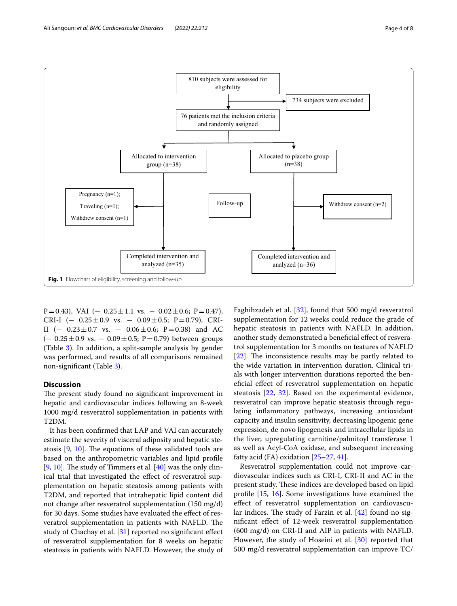

<span id="page-3-0"></span>P=0.43), VAI ( $-$  0.25 $\pm$ 1.1 vs.  $-$  0.02 $\pm$ 0.6; P=0.47), CRI-I (−  $0.25 \pm 0.9$  vs. −  $0.09 \pm 0.5$ ; P=0.79), CRI-II (-  $0.23 \pm 0.7$  vs. -  $0.06 \pm 0.6$ ; P=0.38) and AC  $(-0.25 \pm 0.9 \text{ vs. } -0.09 \pm 0.5; \text{ P}=0.79)$  between groups (Table [3\)](#page-5-0). In addition, a split-sample analysis by gender was performed, and results of all comparisons remained non-signifcant (Table [3\)](#page-5-0).

## **Discussion**

The present study found no significant improvement in hepatic and cardiovascular indices following an 8-week 1000 mg/d resveratrol supplementation in patients with T2DM.

It has been confrmed that LAP and VAI can accurately estimate the severity of visceral adiposity and hepatic steatosis  $[9, 10]$  $[9, 10]$  $[9, 10]$ . The equations of these validated tools are based on the anthropometric variables and lipid profle [[9,](#page-6-7) [10](#page-6-8)]. The study of Timmers et al.  $[40]$  $[40]$  $[40]$  was the only clinical trial that investigated the effect of resveratrol supplementation on hepatic steatosis among patients with T2DM, and reported that intrahepatic lipid content did not change after resveratrol supplementation (150 mg/d) for 30 days. Some studies have evaluated the efect of resveratrol supplementation in patients with NAFLD. The study of Chachay et al. [[31\]](#page-7-8) reported no signifcant efect of resveratrol supplementation for 8 weeks on hepatic steatosis in patients with NAFLD. However, the study of

Faghihzadeh et al. [\[32](#page-7-17)], found that 500 mg/d resveratrol supplementation for 12 weeks could reduce the grade of hepatic steatosis in patients with NAFLD. In addition, another study demonstrated a beneficial effect of resveratrol supplementation for 3 months on features of NAFLD  $[22]$  $[22]$ . The inconsistence results may be partly related to the wide variation in intervention duration. Clinical trials with longer intervention durations reported the benefcial efect of resveratrol supplementation on hepatic steatosis [[22](#page-7-3), [32\]](#page-7-17). Based on the experimental evidence, resveratrol can improve hepatic steatosis through regulating infammatory pathways, increasing antioxidant capacity and insulin sensitivity, decreasing lipogenic gene expression, de novo lipogenesis and intracellular lipids in the liver, upregulating carnitine/palmitoyl transferase 1 as well as Acyl-CoA oxidase, and subsequent increasing fatty acid (FA) oxidation [[25–](#page-7-18)[27,](#page-7-5) [41\]](#page-7-19).

Resveratrol supplementation could not improve cardiovascular indices such as CRI-I, CRI-II and AC in the present study. These indices are developed based on lipid profle [\[15](#page-6-11), [16\]](#page-7-0). Some investigations have examined the efect of resveratrol supplementation on cardiovascular indices. The study of Farzin et al.  $[42]$  $[42]$  found no signifcant efect of 12-week resveratrol supplementation (600 mg/d) on CRI-II and AIP in patients with NAFLD. However, the study of Hoseini et al. [[30\]](#page-7-7) reported that 500 mg/d resveratrol supplementation can improve TC/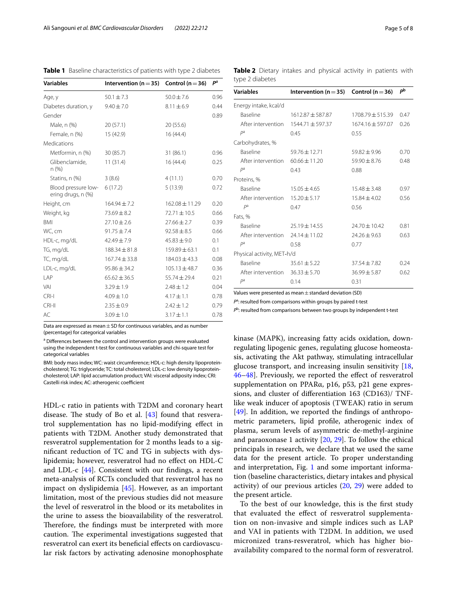| <b>Variables</b>                          | Intervention ( $n = 35$ ) Control ( $n = 36$ ) |                    | $P^a$ |
|-------------------------------------------|------------------------------------------------|--------------------|-------|
| Age, y                                    | $50.1 \pm 7.3$                                 | $50.0 \pm 7.6$     | 0.96  |
| Diabetes duration, y                      | $9.40 \pm 7.0$                                 | $8.11 \pm 6.9$     | 0.44  |
| Gender                                    |                                                |                    | 0.89  |
| Male, n (%)                               | 20(57.1)                                       | 20(55.6)           |       |
| Female, n (%)                             | 15 (42.9)                                      | 16(44.4)           |       |
| Medications                               |                                                |                    |       |
| Metformin, n (%)                          | 30(85.7)                                       | 31(86.1)           | 0.96  |
| Glibenclamide,<br>n(%)                    | 11(31.4)                                       | 16(44.4)           | 0.25  |
| Statins, n (%)                            | 3(8.6)                                         | 4(11.1)            | 0.70  |
| Blood pressure low-<br>ering drugs, n (%) | 6(17.2)                                        | 5(13.9)            | 0.72  |
| Height, cm                                | $164.94 \pm 7.2$                               | $162.08 \pm 11.29$ | 0.20  |
| Weight, kg                                | $73.69 \pm 8.2$                                | $72.71 \pm 10.5$   | 0.66  |
| <b>BMI</b>                                | $27.10 \pm 2.6$                                | $27.66 \pm 2.7$    | 0.39  |
| WC, cm                                    | $91.75 \pm 7.4$                                | $92.58 \pm 8.5$    | 0.66  |
| HDL-c, mg/dL                              | $42.49 \pm 7.9$                                | $45.83 \pm 9.0$    | 0.1   |
| TG, mg/dL                                 | $188.34 \pm 81.8$                              | $159.89 \pm 63.1$  | 0.1   |
| TC, mg/dL                                 | $167.74 \pm 33.8$                              | $184.03 \pm 43.3$  | 0.08  |
| LDL-c, mg/dL                              | $95.86 \pm 34.2$                               | $105.13 \pm 48.7$  | 0.36  |
| LAP                                       | $65.62 \pm 36.5$                               | $55.74 \pm 29.4$   | 0.21  |
| VAI                                       | $3.29 \pm 1.9$                                 | $2.48 \pm 1.2$     | 0.04  |
| $CRI-I$                                   | $4.09 \pm 1.0$                                 | $4.17 \pm 1.1$     | 0.78  |
| CRI-II                                    | $2.35 \pm 0.9$                                 | $2.42 \pm 1.2$     | 0.79  |
| AC                                        | $3.09 \pm 1.0$                                 | $3.17 \pm 1.1$     | 0.78  |

<span id="page-4-0"></span>**Table 1** Baseline characteristics of patients with type 2 diabetes

Data are expressed as mean  $\pm$  SD for continuous variables, and as number (percentage) for categorical variables

<sup>a</sup> Differences between the control and intervention groups were evaluated using the independent t-test for continuous variables and chi‐square test for categorical variables

BMI: body mass index; WC: waist circumference; HDL-c: high density lipoproteincholesterol; TG: triglyceride; TC: total cholesterol; LDL-c: low density lipoproteincholesterol; LAP: lipid accumulation product; VAI: visceral adiposity index; CRI: Castelli risk index: AC: atherogenic coefficient

HDL-c ratio in patients with T2DM and coronary heart disease. The study of Bo et al.  $[43]$  $[43]$  $[43]$  found that resveratrol supplementation has no lipid-modifying efect in patients with T2DM. Another study demonstrated that resveratrol supplementation for 2 months leads to a signifcant reduction of TC and TG in subjects with dyslipidemia; however, resveratrol had no efect on HDL-C and LDL-c  $[44]$  $[44]$ . Consistent with our findings, a recent meta-analysis of RCTs concluded that resveratrol has no impact on dyslipidemia [[45\]](#page-7-23). However, as an important limitation, most of the previous studies did not measure the level of resveratrol in the blood or its metabolites in the urine to assess the bioavailability of the resveratrol. Therefore, the findings must be interpreted with more caution. The experimental investigations suggested that resveratrol can exert its benefcial efects on cardiovascular risk factors by activating adenosine monophosphate

type 2 diabetes **Variables Intervention (n**=**35) Control (n**=**36)** *<sup>P</sup>***<sup>b</sup>** Energy intake, kcal/d Baseline 1612.87±587.87 1708.79±515.39 0.47 After intervention 1544.71 ± 597.37 1674.16 ± 597.07 0.26 *P*<sup>a</sup> 0.45 0.55 Carbohydrates, % Baseline 59.76±12.71 59.82±9.96 0.70

<span id="page-4-1"></span>**Table 2** Dietary intakes and physical activity in patients with

| рa                                   | 0.43              | 0.88              |      |
|--------------------------------------|-------------------|-------------------|------|
| Proteins, %                          |                   |                   |      |
| <b>Baseline</b>                      | $15.05 + 4.65$    | $15.48 + 3.48$    | 0.97 |
| After intervention                   | $15.20 \pm 5.17$  | $15.84 \pm 4.02$  | 0.56 |
| рa                                   | 0.47              | 0.56              |      |
| Fats, %                              |                   |                   |      |
| <b>Baseline</b>                      | $25.19 \pm 14.55$ | $74.70 \pm 10.42$ | 0.81 |
| After intervention $24.14 \pm 11.02$ |                   | $74.26 + 9.63$    | 0.63 |
| pa                                   | 0.58              | 0.77              |      |
| Physical activity, MET-h/d           |                   |                   |      |
| <b>Baseline</b>                      | $35.61 + 5.22$    | $37.54 + 7.82$    | 0.24 |
| After intervention                   | $36.33 + 5.70$    | $36.99 + 5.87$    | 0.62 |
|                                      |                   |                   |      |

After intervention  $60.66 \pm 11.20$  59.90 $\pm$ 8.76 0.48<br>  $P^3$  0.43 0.88

Values were presented as mean±standard deviation (SD)

P<sup>a</sup>: resulted from comparisons within groups by paired t-test

*P*<sup>a</sup> 0.14 0.31

P<sup>b</sup>: resulted from comparisons between two groups by independent t-test

kinase (MAPK), increasing fatty acids oxidation, downregulating lipogenic genes, regulating glucose homeostasis, activating the Akt pathway, stimulating intracellular glucose transport, and increasing insulin sensitivity [[18](#page-7-2), [46](#page-7-24)[–48](#page-7-25)]. Previously, we reported the efect of resveratrol supplementation on PPARα, p16, p53, p21 gene expressions, and cluster of diferentiation 163 (CD163)/ TNFlike weak inducer of apoptosis (TWEAK) ratio in serum [[49\]](#page-7-26). In addition, we reported the fndings of anthropometric parameters, lipid profle, atherogenic index of plasma, serum levels of asymmetric de-methyl-arginine and paraoxonase 1 activity  $[20, 29]$  $[20, 29]$  $[20, 29]$  $[20, 29]$  $[20, 29]$ . To follow the ethical principals in research, we declare that we used the same data for the present article. To proper understanding and interpretation, Fig. [1](#page-3-0) and some important information (baseline characteristics, dietary intakes and physical activity) of our previous articles [\(20,](#page-7-27) [29\)](#page-7-28) were added to the present article.

To the best of our knowledge, this is the frst study that evaluated the efect of resveratrol supplementation on non-invasive and simple indices such as LAP and VAI in patients with T2DM. In addition, we used micronized trans‐resveratrol, which has higher bioavailability compared to the normal form of resveratrol.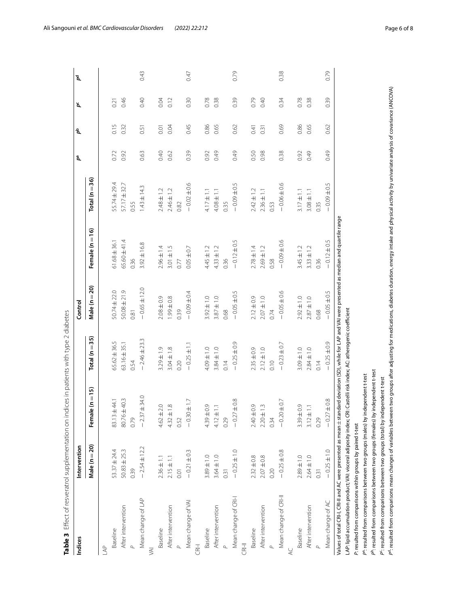<span id="page-5-0"></span>

| ξ<br>١                                                                              |
|-------------------------------------------------------------------------------------|
| l                                                                                   |
|                                                                                     |
|                                                                                     |
| )<br>)<br>)<br>)<br>)<br>)<br>in tyna 7 di<br>Ó                                     |
|                                                                                     |
|                                                                                     |
|                                                                                     |
|                                                                                     |
|                                                                                     |
|                                                                                     |
| )<br>2<br>2<br>2<br>2<br>2<br>2<br>2<br>2<br>2<br>2<br><br><br><br><br><br><br><br> |
|                                                                                     |
|                                                                                     |
|                                                                                     |
|                                                                                     |
|                                                                                     |
|                                                                                     |
|                                                                                     |
|                                                                                     |
|                                                                                     |
|                                                                                     |
|                                                                                     |
|                                                                                     |
|                                                                                     |
|                                                                                     |
|                                                                                     |
|                                                                                     |
| ;<br>;<br>;                                                                         |
|                                                                                     |
|                                                                                     |
|                                                                                     |
| <br> <br> <br> <br> <br>                                                            |
|                                                                                     |
| l                                                                                   |
|                                                                                     |
| then of recyclared supplementation on indices in patients.                          |
|                                                                                     |
|                                                                                     |
|                                                                                     |
|                                                                                     |
|                                                                                     |
|                                                                                     |
|                                                                                     |
|                                                                                     |
|                                                                                     |
|                                                                                     |
| į                                                                                   |
| ole 3 Effect of resveratiol                                                         |
|                                                                                     |
|                                                                                     |
|                                                                                     |

| Indices                                                                                                                                                                                                                                                                                                         | Intervention     |                                          |                                                  | Control          |                   |                    | å    | ዺ    | ዺ    | å    |
|-----------------------------------------------------------------------------------------------------------------------------------------------------------------------------------------------------------------------------------------------------------------------------------------------------------------|------------------|------------------------------------------|--------------------------------------------------|------------------|-------------------|--------------------|------|------|------|------|
|                                                                                                                                                                                                                                                                                                                 | Male $(n=20)$    | $(n = 15)$<br>Female (                   | Total ( $n = 35$ )                               | Male $(n=20)$    | Female (n $=$ 16) | Total ( $n = 36$ ) |      |      |      |      |
| AAP                                                                                                                                                                                                                                                                                                             |                  |                                          |                                                  |                  |                   |                    |      |      |      |      |
| Baseline                                                                                                                                                                                                                                                                                                        | $53.37 \pm 24.4$ | 83.13±44.1                               | $65.62 \pm 36.5$                                 | 50.74±22.0       | $61.68 \pm 36.1$  | 55.74±29.4         | 0.72 | 0.15 | 0.21 |      |
| After intervention                                                                                                                                                                                                                                                                                              | $50.83 \pm 25.3$ | 80.76±40.3                               | 63.16±35.1                                       | $50.08 + 21.9$   | 65.60 ± 41.4      | 57.17 ± 32.7       | 0.92 | 0.32 | 0.46 |      |
|                                                                                                                                                                                                                                                                                                                 | 0.39             | 0.79                                     | 0.54                                             | 0.81             | 0.36              | 0.55               |      |      |      |      |
| Mean change of LAP                                                                                                                                                                                                                                                                                              | $-2.54 \pm 12.2$ | $-2.37 + 34.0$                           | $-2.46 \pm 23.3$                                 | $-0.65 \pm 12.0$ | $3.92 \pm 16.8$   | $1.43 \pm 14.3$    | 0.63 | 0.51 | 0.40 | 0.43 |
| $\overline{\mathbb{R}}$                                                                                                                                                                                                                                                                                         |                  |                                          |                                                  |                  |                   |                    |      |      |      |      |
| Baseline                                                                                                                                                                                                                                                                                                        | $2.36 \pm 1.1$   | $4.62 \pm 2.0$                           | $3.29 \pm 1.9$                                   | $2.08 \pm 0.9$   | $2.96 \pm 1.4$    | $2.48 \pm 1.2$     | 0.40 | 0.01 | 0.04 |      |
| After intervention                                                                                                                                                                                                                                                                                              | $2.15 \pm 1.1$   | $\infty$<br>$4.32 \pm 7$                 | $3.04 \pm 1.8$                                   | 9940.8           | $3.01 \pm 1.5$    | $2.46 \pm 1.2$     | 0.62 | 0.04 | 0.12 |      |
|                                                                                                                                                                                                                                                                                                                 | 0.01             | 0.52                                     | 0.20                                             | 0.39             | 0.77              | 0.82               |      |      |      |      |
| Mean change of VAI                                                                                                                                                                                                                                                                                              | $-0.21 \pm 0.3$  | $-0.30 \pm 1.7$                          | $-0.25 \pm 1.1$                                  | $-0.09 + 0.4$    | $0.05 \pm 0.7$    | $-0.02 \pm 0.6$    | 0.39 | 0.45 | 0.30 | 0.47 |
| CRI-I                                                                                                                                                                                                                                                                                                           |                  |                                          |                                                  |                  |                   |                    |      |      |      |      |
| Baseline                                                                                                                                                                                                                                                                                                        | $3.89 \pm 1.0$   | $4.39 + 0.9$                             | $4.09 \pm 1.0$                                   | $3.92 \pm 1.0$   | $4.45 \pm 1.2$    | $4.17 \pm 1.1$     | 0.92 | 0.86 | 0.78 |      |
| After intervention                                                                                                                                                                                                                                                                                              | $3.64 \pm 1.0$   | $\overline{\phantom{m}}$<br>$4.12 \pm 7$ | $3.84 \pm 1.0$                                   | $3.87 \pm 1.0$   | $4.33 \pm 1.2$    | $4.08 \pm 1.1$     | 0.49 | 0.65 | 0.38 |      |
|                                                                                                                                                                                                                                                                                                                 | 0.31             | 0.29                                     | 0.14                                             | 0.68             | 0.36              | 0.35               |      |      |      |      |
| Mean change of CRI-I                                                                                                                                                                                                                                                                                            | $-0.25 \pm 1.0$  | $\pm 0.8$<br>$-0.27$                     | $-0.25 \pm 0.9$                                  | $-0.05 + 0.5$    | $-0.12 \pm 0.5$   | $-0.09 + 0.5$      | 0.49 | 0.62 | 0.39 | 0.79 |
| CRI-II                                                                                                                                                                                                                                                                                                          |                  |                                          |                                                  |                  |                   |                    |      |      |      |      |
| Baseline                                                                                                                                                                                                                                                                                                        | $2.32 \pm 0.8$   | $2.40 \pm 0.9$                           | $2.35 \pm 0.9$                                   | $2.12 \pm 0.9$   | $2.78 \pm 1.4$    | $2.42 \pm 1.2$     | 0.50 | 0.41 | 0.79 |      |
| After intervention                                                                                                                                                                                                                                                                                              | $2.07 \pm 0.8$   | $\omega$<br>$2.20 \pm 7$                 | $2.12 \pm 1.0$                                   | $2.07 \pm 1.0$   | $2.69 \pm 1.2$    | $2.36 \pm 1.1$     | 0.98 | 0.31 | 0.40 |      |
|                                                                                                                                                                                                                                                                                                                 | 0.20             | 0.34                                     | 0.10                                             | 0.74             | 0.58              | 0.53               |      |      |      |      |
| Mean change of CRI-II                                                                                                                                                                                                                                                                                           | $-0.25 \pm 0.8$  | $-0.20 \pm 0.7$                          | $-0.23 \pm 0.7$                                  | $-0.05 \pm 0.6$  | $-0.09 + 0.6$     | $-0.06 \pm 0.6$    | 0.38 | 0.69 | 0.34 | 0.38 |
| $\approx$                                                                                                                                                                                                                                                                                                       |                  |                                          |                                                  |                  |                   |                    |      |      |      |      |
| Baseline                                                                                                                                                                                                                                                                                                        | $2.89 \pm 1.0$   | $3.39 \pm 0.9$                           | $3.09 \pm 1.0$                                   | $2.92 \pm 1.0$   | $3.45 \pm 1.2$    | $3.17 \pm 1.1$     | 0.92 | 0.86 | 0.78 |      |
| After intervention                                                                                                                                                                                                                                                                                              | $2.64 \pm 1.0$   | $\Xi$<br>$3.12 \pm 7$                    | $2.84 \pm 1.0$                                   | $2.87 \pm 1.0$   | $3.33 \pm 1.2$    | $3.08 \pm 1.1$     | 0.49 | 0.65 | 0.38 |      |
|                                                                                                                                                                                                                                                                                                                 | 0.31             | 0.29                                     | 0.14                                             | 0.68             | 0.36              | 0.35               |      |      |      |      |
| Mean change of AC                                                                                                                                                                                                                                                                                               | $-0.25 \pm 1.0$  | $\pm 0.8$<br>$-0.27$                     | $-0.25 \pm 0.9$                                  | $-0.05 \pm 0.5$  | $-0.12 \pm 0.5$   | $-0.09 + 0.5$      | 0.49 | 0.62 | 0.39 | 0.79 |
| Values of total CRI-I, GRI-II and AC were presented as mean $\pm$ standard deviation (SD), while for LAP and VAI were presented as median and quartile range                                                                                                                                                    |                  |                                          |                                                  |                  |                   |                    |      |      |      |      |
| LAP: lipid accumulation product; VAI: visceral adiposity index; CRI:                                                                                                                                                                                                                                            |                  |                                          | Castelli risk index; AC: atherogenic coefficient |                  |                   |                    |      |      |      |      |
| P: resulted from comparisons within groups by paired t-test                                                                                                                                                                                                                                                     |                  |                                          |                                                  |                  |                   |                    |      |      |      |      |
| P°: resulted from comparisons between two groups (males) by independent t-test                                                                                                                                                                                                                                  |                  |                                          |                                                  |                  |                   |                    |      |      |      |      |
| p <sup>b</sup> : resulted from comparisons between two groups (females) by independent t-test                                                                                                                                                                                                                   |                  |                                          |                                                  |                  |                   |                    |      |      |      |      |
| P <sup>4</sup> : resulted from comparisons mean changes of variables between two groups after adjusting for medications, diabetes duration, energy intake and physical activity by univariate analysis of covariance (ANCOVA)<br>P": resulted from comparisons between two groups (total) by independent t-test |                  |                                          |                                                  |                  |                   |                    |      |      |      |      |
|                                                                                                                                                                                                                                                                                                                 |                  |                                          |                                                  |                  |                   |                    |      |      |      |      |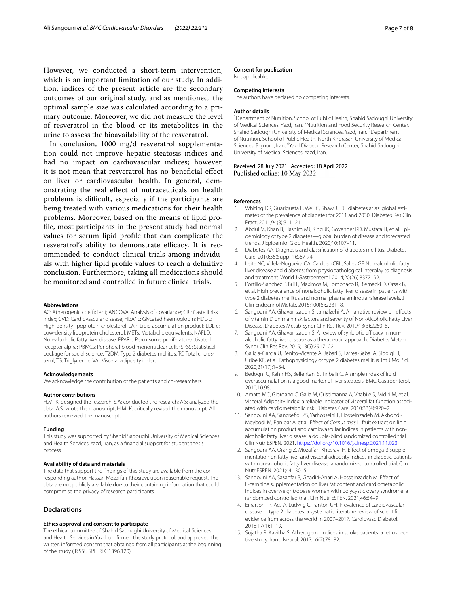However, we conducted a short-term intervention, which is an important limitation of our study. In addition, indices of the present article are the secondary outcomes of our original study, and as mentioned, the optimal sample size was calculated according to a primary outcome. Moreover, we did not measure the level of resveratrol in the blood or its metabolites in the urine to assess the bioavailability of the resveratrol.

In conclusion, 1000 mg/d resveratrol supplementation could not improve hepatic steatosis indices and had no impact on cardiovascular indices; however, it is not mean that resveratrol has no benefcial efect on liver or cardiovascular health. In general, demonstrating the real efect of nutraceuticals on health problems is difficult, especially if the participants are being treated with various medications for their health problems. Moreover, based on the means of lipid profle, most participants in the present study had normal values for serum lipid profle that can complicate the resveratrol's ability to demonstrate efficacy. It is recommended to conduct clinical trials among individuals with higher lipid profle values to reach a defnitive conclusion. Furthermore, taking all medications should be monitored and controlled in future clinical trials.

#### **Abbreviations**

AC: Atherogenic coefficient; ANCOVA: Analysis of covariance; CRI: Castelli risk index; CVD: Cardiovascular disease; HbA1c: Glycated haemoglobin; HDL-c: High-density lipoprotein cholesterol; LAP: Lipid accumulation product; LDL-c: Low-density lipoprotein cholesterol; METs: Metabolic equivalents; NAFLD: Non-alcoholic fatty liver disease; PPARα: Peroxisome proliferator-activated receptor alpha; PBMCs: Peripheral blood mononuclear cells; SPSS: Statistical package for social science; T2DM: Type 2 diabetes mellitus; TC: Total cholesterol; TG: Triglyceride; VAI: Visceral adiposity index.

#### **Acknowledgements**

We acknowledge the contribution of the patients and co-researchers.

#### **Author contributions**

H.M–K: designed the research; S.A: conducted the research; A.S: analyzed the data; A.S: wrote the manuscript; H.M–K: critically revised the manuscript. All authors reviewed the manuscript.

#### **Funding**

This study was supported by Shahid Sadoughi University of Medical Sciences and Health Services, Yazd, Iran, as a fnancial support for student thesis process.

#### **Availability of data and materials**

The data that support the findings of this study are available from the corresponding author, Hassan Mozafari-Khosravi, upon reasonable request. The data are not publicly available due to their containing information that could compromise the privacy of research participants.

## **Declarations**

#### **Ethics approval and consent to participate**

The ethical committee of Shahid Sadoughi University of Medical Sciences and Health Services in Yazd, confrmed the study protocol, and approved the written informed consent that obtained from all participants at the beginning of the study (IR.SSU.SPH.REC.1396.120).

#### **Consent for publication**

Not applicable.

## **Competing interests**

The authors have declared no competing interests.

#### **Author details**

<sup>1</sup> Department of Nutrition, School of Public Health, Shahid Sadoughi University of Medical Sciences, Yazd, Iran. <sup>2</sup> Nutrition and Food Security Research Center, Shahid Sadoughi University of Medical Sciences, Yazd, Iran. <sup>3</sup> Department of Nutrition, School of Public Health, North Khorasan University of Medical Sciences, Bojnurd, Iran. <sup>4</sup> Yazd Diabetic Research Center, Shahid Sadoughi University of Medical Sciences, Yazd, Iran.

#### Received: 28 July 2021 Accepted: 18 April 2022 Published online: 10 May 2022

#### **References**

- <span id="page-6-0"></span>1. Whiting DR, Guariguata L, Weil C, Shaw J. IDF diabetes atlas: global estimates of the prevalence of diabetes for 2011 and 2030. Diabetes Res Clin Pract. 2011;94(3):311–21.
- <span id="page-6-1"></span>2. Abdul M, Khan B, Hashim MJ, King JK, Govender RD, Mustafa H, et al. Epidemiology of type 2 diabetes—global burden of disease and forecasted trends. J Epidemiol Glob Health. 2020;10:107–11.
- <span id="page-6-2"></span>3. Diabetes AA. Diagnosis and classifcation of diabetes mellitus. Diabetes Care. 2010;36(Suppl 1):S67-74.
- <span id="page-6-3"></span>4. Leite NC, Villela-Nogueira CA, Cardoso CRL, Salles GF. Non-alcoholic fatty liver disease and diabetes: from physiopathological interplay to diagnosis and treatment. World J Gastroenterol. 2014;20(26):8377–92.
- <span id="page-6-4"></span>5. Portillo-Sanchez P, Bril F, Maximos M, Lomonaco R, Biernacki D, Orsak B, et al. High prevalence of nonalcoholic fatty liver disease in patients with type 2 diabetes mellitus and normal plasma aminotransferase levels. J Clin Endocrinol Metab. 2015;100(6):2231–8.
- <span id="page-6-5"></span>6. Sangouni AA, Ghavamzadeh S, Jamalzehi A. A narrative review on efects of vitamin D on main risk factors and severity of Non-Alcoholic Fatty Liver Disease. Diabetes Metab Syndr Clin Res Rev. 2019;13(3):2260–5.
- 7. Sangouni AA, Ghavamzadeh S. A review of synbiotic efficacy in nonalcoholic fatty liver disease as a therapeutic approach. Diabetes Metab Syndr Clin Res Rev. 2019;13(5):2917–22.
- <span id="page-6-6"></span>8. Galicia-Garcia U, Benito-Vicente A, Jebari S, Larrea-Sebal A, Siddiqi H, Uribe KB, et al. Pathophysiology of type 2 diabetes mellitus. Int J Mol Sci. 2020;21(17):1–34.
- <span id="page-6-7"></span>9. Bedogni G, Kahn HS, Bellentani S, Tiribelli C. A simple index of lipid overaccumulation is a good marker of liver steatosis. BMC Gastroenterol. 2010;10:98.
- <span id="page-6-8"></span>10. Amato MC, Giordano C, Galia M, Criscimanna A, Vitabile S, Midiri M, et al. Visceral Adiposity Index: a reliable indicator of visceral fat function associated with cardiometabolic risk. Diabetes Care. 2010;33(4):920–2.
- 11. Sangouni AA, Sangsefdi ZS, Yarhosseini F, Hosseinzadeh M, Akhondi-Meybodi M, Ranjbar A, et al. Efect of *Cornus mas* L. fruit extract on lipid accumulation product and cardiovascular indices in patients with nonalcoholic fatty liver disease: a double-blind randomized controlled trial. Clin Nutr ESPEN. 2021.<https://doi.org/10.1016/j.clnesp.2021.11.023>.
- 12. Sangouni AA, Orang Z, Mozaffari-Khosravi H. Effect of omega-3 supplementation on fatty liver and visceral adiposity indices in diabetic patients with non-alcoholic fatty liver disease: a randomized controlled trial. Clin Nutr ESPEN. 2021;44:130–5.
- <span id="page-6-9"></span>13. Sangouni AA, Sasanfar B, Ghadiri-Anari A, Hosseinzadeh M. Efect of L-carnitine supplementation on liver fat content and cardiometabolic indices in overweight/obese women with polycystic ovary syndrome: a randomized controlled trial. Clin Nutr ESPEN. 2021;46:54–9.
- <span id="page-6-10"></span>14. Einarson TR, Acs A, Ludwig C, Panton UH. Prevalence of cardiovascular disease in type 2 diabetes: a systematic literature review of scientifc evidence from across the world in 2007–2017. Cardiovasc Diabetol. 2018;17(1):1–19.
- <span id="page-6-11"></span>15. Sujatha R, Kavitha S. Atherogenic indices in stroke patients: a retrospec‑ tive study. Iran J Neurol. 2017;16(2):78–82.